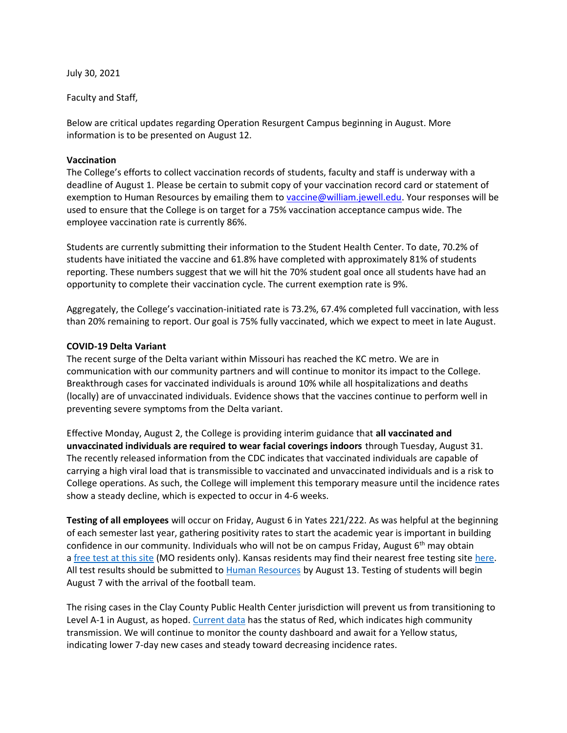July 30, 2021

Faculty and Staff,

Below are critical updates regarding Operation Resurgent Campus beginning in August. More information is to be presented on August 12.

## **Vaccination**

The College's efforts to collect vaccination records of students, faculty and staff is underway with a deadline of August 1. Please be certain to submit copy of your vaccination record card or statement of exemption to Human Resources by emailing them to [vaccine@william.jewell.edu.](mailto:vaccine@william.jewell.edu) Your responses will be used to ensure that the College is on target for a 75% vaccination acceptance campus wide. The employee vaccination rate is currently 86%.

Students are currently submitting their information to the Student Health Center. To date, 70.2% of students have initiated the vaccine and 61.8% have completed with approximately 81% of students reporting. These numbers suggest that we will hit the 70% student goal once all students have had an opportunity to complete their vaccination cycle. The current exemption rate is 9%.

Aggregately, the College's vaccination-initiated rate is 73.2%, 67.4% completed full vaccination, with less than 20% remaining to report. Our goal is 75% fully vaccinated, which we expect to meet in late August.

## **COVID-19 Delta Variant**

The recent surge of the Delta variant within Missouri has reached the KC metro. We are in communication with our community partners and will continue to monitor its impact to the College. Breakthrough cases for vaccinated individuals is around 10% while all hospitalizations and deaths (locally) are of unvaccinated individuals. Evidence shows that the vaccines continue to perform well in preventing severe symptoms from the Delta variant.

Effective Monday, August 2, the College is providing interim guidance that **all vaccinated and unvaccinated individuals are required to wear facial coverings indoors** through Tuesday, August 31. The recently released information from the CDC indicates that vaccinated individuals are capable of carrying a high viral load that is transmissible to vaccinated and unvaccinated individuals and is a risk to College operations. As such, the College will implement this temporary measure until the incidence rates show a steady decline, which is expected to occur in 4-6 weeks.

**Testing of all employees** will occur on Friday, August 6 in Yates 221/222. As was helpful at the beginning of each semester last year, gathering positivity rates to start the academic year is important in building confidence in our community. Individuals who will not be on campus Friday, August  $6<sup>th</sup>$  may obtain a [free test at this site](https://health.mo.gov/living/healthcondiseases/communicable/novel-coronavirus/community-test.php) (MO residents only). Kansas residents may find their nearest free testing site [here.](https://www.coronavirus.kdheks.gov/280/COVID-19-Testing) All test results should be submitted to [Human Resources](mailto:HR@william.jewell.edu?subject=COVID-19%20Test%20Results) by August 13. Testing of students will begin August 7 with the arrival of the football team.

The rising cases in the Clay County Public Health Center jurisdiction will prevent us from transitioning to Level A-1 in August, as hoped. [Current data](https://experience.arcgis.com/experience/34f9ef5e486b4ef3a0a1364c457944bb/page/page_15/) has the status of Red, which indicates high community transmission. We will continue to monitor the county dashboard and await for a Yellow status, indicating lower 7-day new cases and steady toward decreasing incidence rates.